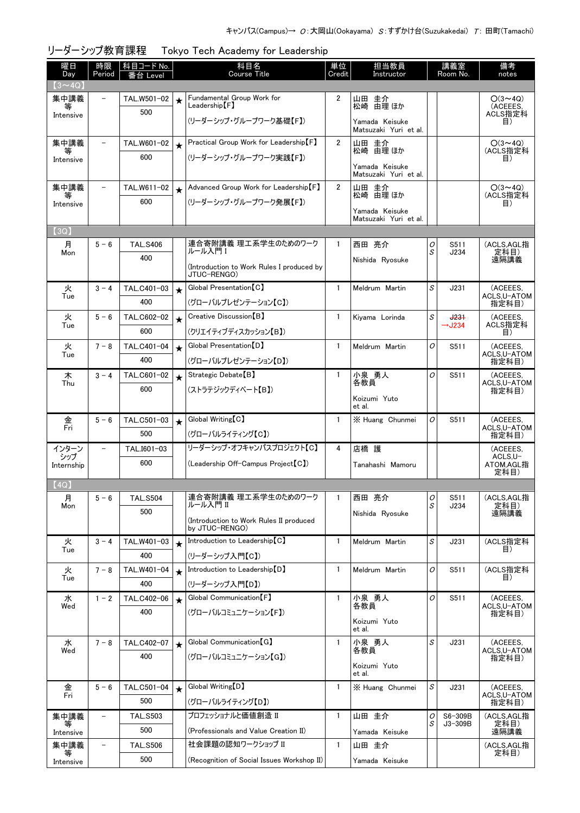| 曜日<br>Day      | 時限<br>Period             | 科目コード No.<br>番台 Level |            | 科目名<br><b>Course Title</b>                                | 単位<br>Credit   | 担当教員<br>Instructor                                  |        | 講義室<br>Room No.      | 備考<br>notes                |
|----------------|--------------------------|-----------------------|------------|-----------------------------------------------------------|----------------|-----------------------------------------------------|--------|----------------------|----------------------------|
| $(3 \sim 4Q)$  |                          |                       |            |                                                           |                |                                                     |        |                      |                            |
| 集中講義<br>等      | $\overline{\phantom{0}}$ | TAL.W501-02           | $\star$    | Fundamental Group Work for<br>$\sf Leadership$ $\sf [F]$  | $\overline{2}$ | 山田 圭介<br>松崎 由理 ほか                                   |        |                      | $O(3 \sim 4Q)$<br>(ACEEES. |
| Intensive      |                          | 500                   |            | (リーダーシップ・グループワーク基礎【F】)                                    |                | Yamada Keisuke<br>Matsuzaki Yuri et al.             |        |                      | ACLS指定科<br>目)              |
| 集中講義           | $\overline{\phantom{a}}$ | TAL.W601-02           | $\bigstar$ | Practical Group Work for Leadership [F]                   | $\overline{2}$ | 山田 圭介                                               |        |                      | $O(3 \sim 4Q)$             |
| 等<br>Intensive |                          | 600                   |            | (リーダーシップ・グループワーク実践【F】)                                    |                | 松崎 由理 ほか<br>Yamada Keisuke<br>Matsuzaki Yuri et al. |        |                      | (ACLS指定科<br>目)             |
| 集中講義           | $\overline{\phantom{0}}$ | TAL.W611-02           | $\star$    | Advanced Group Work for Leadership [F]                    | $\overline{2}$ | 山田 圭介                                               |        |                      | $O(3 \sim 4Q)$             |
| 等<br>Intensive |                          | 600                   |            | (リーダーシップ・グループワーク発展【F】)                                    |                | 松崎 由理 ほか                                            |        |                      | (ACLS指定科<br>目)             |
|                |                          |                       |            |                                                           |                | Yamada Keisuke<br>Matsuzaki Yuri et al.             |        |                      |                            |
| (3Q)           |                          |                       |            |                                                           |                |                                                     |        |                      |                            |
| 月              | $5 - 6$                  | <b>TAL.S406</b>       |            | 連合寄附講義 理工系学生のためのワーク<br>ルール入門!                             | $\mathbf{1}$   | 西田 亮介                                               | 0      | S511                 | (ACLS,AGL指                 |
| Mon            |                          | 400                   |            | (Introduction to Work Rules I produced by<br>JTUC-RENGO)  |                | Nishida Ryosuke                                     | S      | J234                 | 定科目)<br>遠隔講義               |
| 火              | $3 - 4$                  | TAL.C401-03           | $\star$    | Global Presentation [C]                                   | $\mathbf{1}$   | Meldrum Martin                                      | S      | J231                 | (ACEEES.                   |
| Tue            |                          | 400                   |            | (グローバルプレゼンテーション【C】)                                       |                |                                                     |        |                      | ACLS,U-ATOM<br>指定科目)       |
| 火              | $5 - 6$                  | TAL.C602-02           | $\star$    | Creative Discussion [B]                                   | 1              | Kiyama Lorinda                                      | S      | $+23+$               | (ACEEES,<br>ACLS指定科        |
| Tue            |                          | 600                   |            | (クリエイティブディスカッション【B】)                                      |                |                                                     |        | $\rightarrow$ J234   | 目)                         |
| 火<br>Tue       | $7 - 8$                  | TAL.C401-04           | $\star$    | Global Presentation [D]                                   | $\mathbf{1}$   | Meldrum Martin                                      | O      | S511                 | (ACEEES.<br>ACLS.U-ATOM    |
|                |                          | 400                   |            | (グローバルプレゼンテーション【D】)                                       |                |                                                     |        |                      | 指定科目)                      |
| 木<br>Thu       | $3 - 4$                  | TAL.C601-02           | $\star$    | Strategic Debate <sup>[B]</sup>                           | $\mathbf{1}$   | 小泉 勇人<br>各教員                                        | O      | S511                 | (ACEEES.<br>ACLS.U-ATOM    |
|                |                          | 600                   |            | (ストラテジックディベート【B】)                                         |                | Koizumi Yuto                                        |        |                      | 指定科目)                      |
|                |                          |                       |            |                                                           |                | et al.                                              |        |                      |                            |
| 金<br>Fri       | $5 - 6$                  | TAL.C501-03           | $\star$    | Global Writing [C]                                        | 1              | X Huang Chunmei                                     | O      | S511                 | (ACEEES,<br>ACLS,U-ATOM    |
|                |                          | 500                   |            | (グローバルライティング【C】)                                          |                |                                                     |        |                      | 指定科目)                      |
| インターン<br>シップ   |                          | TAL.I601-03           |            | リーダーシップ・オフキャンパスプロジェクト【C】                                  | 4              | 店橋 護                                                |        |                      | (ACEEES.<br>ACLS.U-        |
| Internship     |                          | 600                   |            | (Leadership Off-Campus Project [C])                       |                | Tanahashi Mamoru                                    |        |                      | ATOM,AGL指<br>定科目)          |
| (4Q)           |                          |                       |            |                                                           |                |                                                     |        |                      |                            |
| 月              | $5 - 6$                  | <b>TAL.S504</b>       |            | 連合寄附講義 理工系学生のためのワーク                                       | $\mathbf{1}$   | 西田 亮介                                               | 0      | S511                 | (ACLS,AGL指                 |
| Mon            |                          | 500                   |            | ルール入門 II                                                  |                | Nishida Ryosuke                                     | S      | J234                 | 定科目)<br>遠隔講義               |
|                |                          |                       |            | (Introduction to Work Rules II produced<br>by JTUC-RENGO) |                |                                                     |        |                      |                            |
| 火              | $3 - 4$                  | TAL.W401-03           | $\star$    | Introduction to Leadership [C]                            | 1              | Meldrum Martin                                      | S      | J231                 | (ACLS指定科                   |
| Tue            |                          | 400                   |            | (リーダーシップ入門【C】)                                            |                |                                                     |        |                      | 目)                         |
| 火<br>Tue       | $7 - 8$                  | TAL.W401-04           | $\star$    | Introduction to Leadership [D]                            | $\mathbf{1}$   | Meldrum Martin                                      | 0      | S511                 | (ACLS指定科<br>目)             |
|                |                          | 400                   |            | (リーダーシップ入門【D】)                                            |                |                                                     |        |                      |                            |
| 水<br>Wed       | $1 - 2$                  | TAL.C402-06           | $\star$    | Global Communication [F]                                  | $\mathbf{1}$   | 小泉 勇人<br>各教員                                        | O      | S511                 | (ACEEES,<br>ACLS.U-ATOM    |
|                |                          | 400                   |            | (グローバルコミュニケーション【F】)                                       |                | Koizumi Yuto                                        |        |                      | 指定科目)                      |
|                |                          |                       |            |                                                           |                | et al.                                              |        |                      |                            |
| 水<br>Wed       | $7 - 8$                  | TAL.C402-07           | $\star$    | Global Communication [G]                                  | $\mathbf{1}$   | 小泉 勇人<br>各教員                                        | S      | J231                 | (ACEEES,<br>ACLS,U-ATOM    |
|                |                          | 400                   |            | (グローバルコミュニケーション【G】)                                       |                | Koizumi Yuto                                        |        |                      | 指定科目)                      |
|                |                          |                       |            |                                                           |                | et al.                                              |        |                      |                            |
| 金<br>Fri       | $5 - 6$                  | TAL.C501-04           | $\star$    | Global Writing [D]                                        | $\mathbf{1}$   | X Huang Chunmei                                     | S      | J231                 | (ACEEES,<br>ACLS,U-ATOM    |
|                |                          | 500                   |            | (グローバルライティング【D】)                                          |                |                                                     |        |                      | 指定科目)                      |
| 集中講義<br>等      | -                        | <b>TAL.S503</b>       |            | プロフェッショナルと価値創造 II                                         | $\mathbf{1}$   | 山田 圭介                                               | 0<br>S | S6-309B<br>$J3-309B$ | (ACLS,AGL指<br>定科目)         |
| Intensive      |                          | 500                   |            | (Professionals and Value Creation II)                     |                | Yamada Keisuke                                      |        |                      | 遠隔講義                       |
| 集中講義<br>等      | -                        | <b>TAL.S506</b>       |            | 社会課題の認知ワークショップ II                                         | $\mathbf{1}$   | 山田 圭介                                               |        |                      | (ACLS, AGL指<br>定科目)        |
| Intensive      |                          | 500                   |            | (Recognition of Social Issues Workshop II)                |                | Yamada Keisuke                                      |        |                      |                            |

## リーダーシップ教育課程 Tokyo Tech Academy for Leadership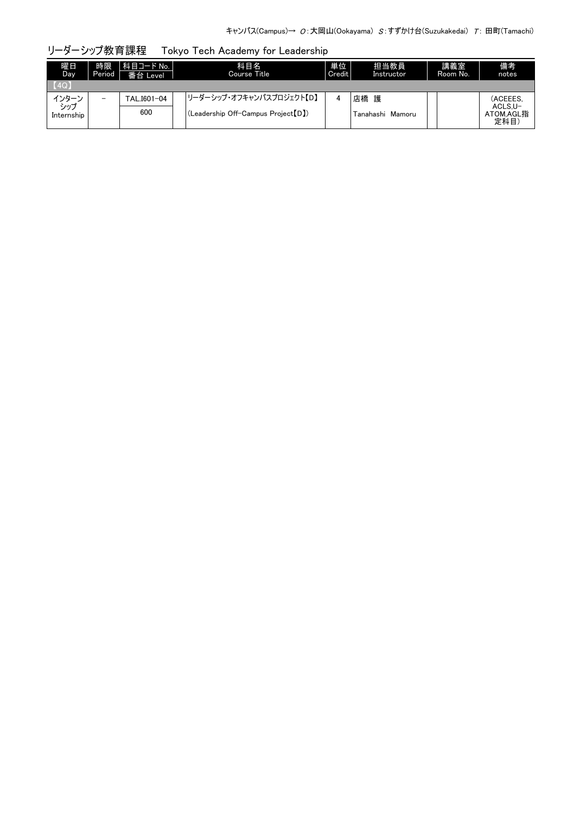| リーダーシップ教育課程 |  | Tokyo Tech Academy for Leadership |  |
|-------------|--|-----------------------------------|--|
|-------------|--|-----------------------------------|--|

| 曜日<br>Day      | 時限<br>Period             | 科目コード No.  <br>番台 Level | 科目名<br>Course Title                 | 単位<br>Credit | 担当教員<br>Instructor | 講義室<br>Room No. | 備考<br>notes                  |
|----------------|--------------------------|-------------------------|-------------------------------------|--------------|--------------------|-----------------|------------------------------|
| [4Q]           |                          |                         |                                     |              |                    |                 |                              |
| インターン<br>- シップ | $\overline{\phantom{0}}$ | TAL.I601-04             | リーダーシップ・オフキャンパスプロジェクト【D】            | 4            | 店橋<br>護            |                 | (ACEEES.                     |
| Internship     |                          | 600                     | (Leadership Off-Campus Project [D]) |              | Tanahashi Mamoru   |                 | ACLS.U-<br>ATOM.AGL指<br>定科目) |